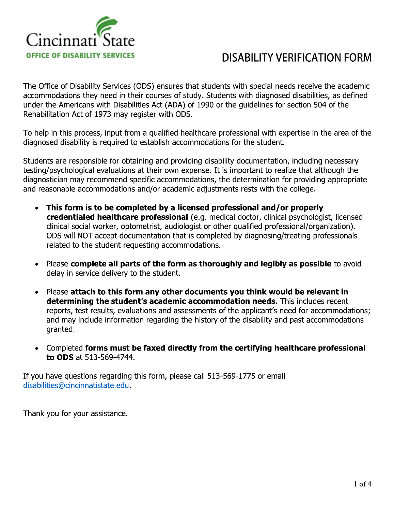

The Office of Disability Services (ODS) ensures that students with special needs receive the academic accommodations they need in their courses of study. Students with diagnosed disabilities, as defined under the Americans with Disabilities Act (ADA) of 1990 or the guidelines for section 504 of the  $\sim$ **ABILITY VERIFICATION FORM**<br>
with special needs receive the academic<br>
with diagnosed disabilities, as defined<br>
guidelines for section 504 of the<br>
ssional with expertise in the area of the<br>
or the student.<br>
documentation, i  $\kappa$ enabilitation Act of 1973 may register with ODS.

To help in this process, input from a qualified healthcare professional with expertise in the area of the alagnosed disability is required to establish accommodations for the student.

Students are responsible for obtaining and providing disability documentation, including necessary  ${\rm resung/psy}$ chological evaluations at their own expense. It is important to realize that although the  $\alpha$  alagnostician may recommend specific accommodations, the determination for providing appropriate and reasonable accommodations and/or academic adjustments rests with the college.  $\,$ 

- $\bullet$  This form is to be completed by a licensed professional and/or properly  $\bf{c}$ regentialeg healthcare professional (e.g. medical doctor, clinical psychologist, licensed ciinicai social worker, optometrist, audiologist or other qualified professional/organization). ODS WIII NOT accept documentation that is completed by diagnosing/treating professionals related to the student requesting accommodations.
- $\bullet$  Please **complete all parts of the form as thoroughly and legibly as possible** to avoid  $\bullet$ delay in service delivery to the student.
- Please attach to this form any other documents you think would be relevant in determining the student's academic accommodation needs. This includes recent reports, test results, evaluations and assessments of the applicant's need for accommodations;  $\,$ and may include information regarding the history of the disability and past accommodations granted. • Please **attach to this form any othe**<br> **determining the student's academ**<br>
reports, test results, evaluations and a<br>
and may include information regarding<br>
granted.<br>
• Completed **forms must be faxed dir**<br> **to ODS** at 513 First statement accommodation necess. This includes is<br>
luations and assessments of the applicant's need for accom<br>
tion regarding the history of the disability and past accom<br> **be faxed directly from the certifying health** 
	- $\bullet$  Completed forms must be faxed directly from the certifying nealthcare professional to ODS at 5.

If you have questions regarding this form, please call 513-569-1775 or email disabilities@cincinnatistate.edu.

Frank you for your assistance.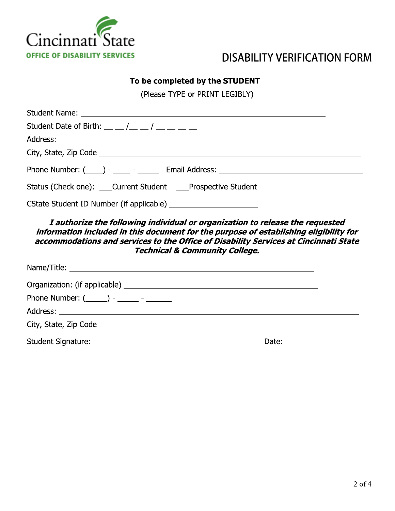

# **DISABILITY VERIFICATION FORM**

#### To be completed by the STUDENT

(Please TYPE or PRINT LEGIBLY)

| Student Date of Birth: $\frac{1}{2}$ $\frac{1}{2}$ $\frac{1}{2}$ $\frac{1}{2}$ $\frac{1}{2}$ $\frac{1}{2}$ $\frac{1}{2}$ $\frac{1}{2}$ $\frac{1}{2}$ $\frac{1}{2}$ $\frac{1}{2}$ $\frac{1}{2}$ $\frac{1}{2}$ $\frac{1}{2}$ $\frac{1}{2}$ $\frac{1}{2}$ $\frac{1}{2}$ $\frac{1}{2}$ $\frac{1}{2}$ $\frac{1}{2}$ |
|----------------------------------------------------------------------------------------------------------------------------------------------------------------------------------------------------------------------------------------------------------------------------------------------------------------|
|                                                                                                                                                                                                                                                                                                                |
|                                                                                                                                                                                                                                                                                                                |
| Phone Number: (____) - ____ - ______ Email Address: ____________________________                                                                                                                                                                                                                               |
| Status (Check one): ____Current Student ____Prospective Student                                                                                                                                                                                                                                                |
|                                                                                                                                                                                                                                                                                                                |
| I authorize the following individual or organization to release the requested<br>information included in this document for the purpose of establishing eligibility for<br>accommodations and services to the Office of Disability Services at Cincinnati State<br><b>Technical &amp; Community College.</b>    |
|                                                                                                                                                                                                                                                                                                                |
|                                                                                                                                                                                                                                                                                                                |
| Phone Number: $(\_\_\_\_ )$ - $\_\_\_\_\_$ - $\_\_\_\_\_$                                                                                                                                                                                                                                                      |
|                                                                                                                                                                                                                                                                                                                |
|                                                                                                                                                                                                                                                                                                                |
|                                                                                                                                                                                                                                                                                                                |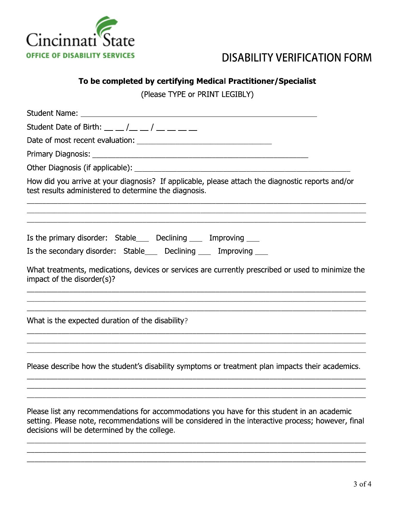

decisions will be determined by the college.

## **DISABILITY VERIFICATION FORM**

#### To be completed by certifying Medical Practitioner/Specialist

(Please TYPE or PRINT LEGIBLY)

| Student Date of Birth: $\frac{1}{2}$ $\frac{1}{2}$ $\frac{1}{2}$ $\frac{1}{2}$ $\frac{1}{2}$ $\frac{1}{2}$ $\frac{1}{2}$ $\frac{1}{2}$ $\frac{1}{2}$ $\frac{1}{2}$ $\frac{1}{2}$ $\frac{1}{2}$ $\frac{1}{2}$ $\frac{1}{2}$ $\frac{1}{2}$ $\frac{1}{2}$ $\frac{1}{2}$ $\frac{1}{2}$ $\frac{1}{2}$ $\frac{1}{2}$ |
|----------------------------------------------------------------------------------------------------------------------------------------------------------------------------------------------------------------------------------------------------------------------------------------------------------------|
|                                                                                                                                                                                                                                                                                                                |
|                                                                                                                                                                                                                                                                                                                |
|                                                                                                                                                                                                                                                                                                                |
| How did you arrive at your diagnosis? If applicable, please attach the diagnostic reports and/or<br>test results administered to determine the diagnosis.                                                                                                                                                      |
| Is the primary disorder: Stable____ Declining ____ Improving ___                                                                                                                                                                                                                                               |
| Is the secondary disorder: Stable___ Declining ___ Improving ___                                                                                                                                                                                                                                               |
| What treatments, medications, devices or services are currently prescribed or used to minimize the<br>impact of the disorder(s)?<br><u> 1989 - Johann Harry Harry Harry Harry Harry Harry Harry Harry Harry Harry Harry Harry Harry Harry Harry Harry</u>                                                      |
| What is the expected duration of the disability?                                                                                                                                                                                                                                                               |
| Please describe how the student's disability symptoms or treatment plan impacts their academics.                                                                                                                                                                                                               |
| Please list any recommendations for accommodations you have for this student in an academic<br>setting. Please note, recommendations will be considered in the interactive process; however, final                                                                                                             |